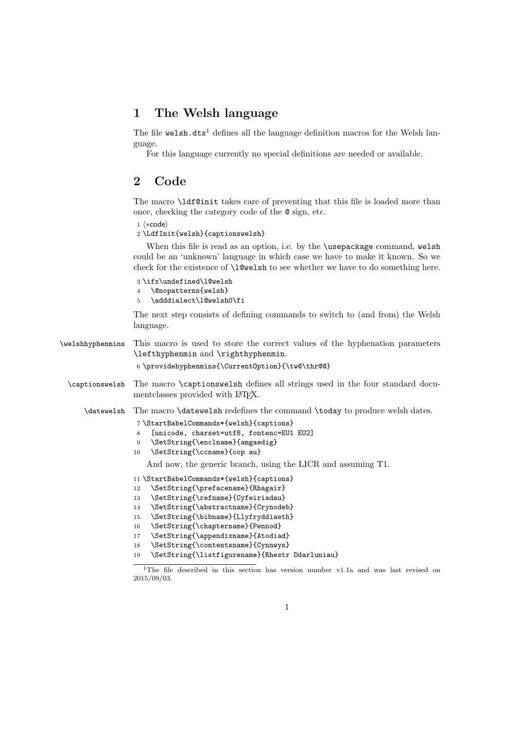## 1 The Welsh language

The file welsh.dtx<sup>1</sup> defines all the language definition macros for the Welsh language.

For this language currently no special definitions are needed or available.

## 2 Code

The macro \ldf@init takes care of preventing that this file is loaded more than once, checking the category code of the @ sign, etc.

1  $\langle *code \rangle$ 

2 \LdfInit{welsh}{captionswelsh}

When this file is read as an option, i.e. by the **\usepackage** command, welsh could be an 'unknown' language in which case we have to make it known. So we check for the existence of **\l@welsh** to see whether we have to do something here.

```
3 \ifx\undefined\l@welsh
4 \@nopatterns{welsh}
```
5 \adddialect\l@welsh0\fi

The next step consists of defining commands to switch to (and from) the Welsh language.

| \welshhyphenmins | This macro is used to store the correct values of the hyphenation parameters<br>\lefthyphenmin and \righthyphenmin.                                                   |
|------------------|-----------------------------------------------------------------------------------------------------------------------------------------------------------------------|
|                  | 6 \providehyphenmins{\CurrentOption}{\tw@\thr@@}                                                                                                                      |
| \captionswelsh   | The macro \captionswelsh defines all strings used in the four standard docu-<br>mentclasses provided with IATFX.                                                      |
|                  | \datewelsh The macro \datewelsh redefines the command \today to produce welsh dates.                                                                                  |
|                  | 7 \StartBabelCommands*{welsh}{captions}<br>[unicode, charset=utf8, fontenc=EU1 EU2]<br>8<br>\SetString{\enclname}{amgaedig}<br>9<br>\SetString{\ccname}{cop au}<br>10 |
|                  | And now, the generic branch, using the LICR and assuming T1.                                                                                                          |
|                  | 11 \StartBabelCommands*{welsh}{captions}                                                                                                                              |
|                  | \SetString{\prefacename}{Rhagair}<br>12                                                                                                                               |
|                  | \SetString{\refname}{Cyfeiriadau}<br>13                                                                                                                               |
|                  | \SetString{\abstractname}{Crynodeb}<br>14                                                                                                                             |
|                  | \SetString{\bibname}{Llyfryddiaeth}<br>15                                                                                                                             |
|                  | \SetString{\chaptername}{Pennod}<br>16                                                                                                                                |
|                  | \SetString{\appendixname}{Atodiad}<br>17                                                                                                                              |
|                  | \SetString{\contentsname}{Cynnwys}<br>18                                                                                                                              |
|                  | \SetString{\listfigurename}{Rhestr Ddarluniau}<br>19                                                                                                                  |

<sup>&</sup>lt;sup>1</sup>The file described in this section has version number v1.1a and was last revised on 2015/09/03.